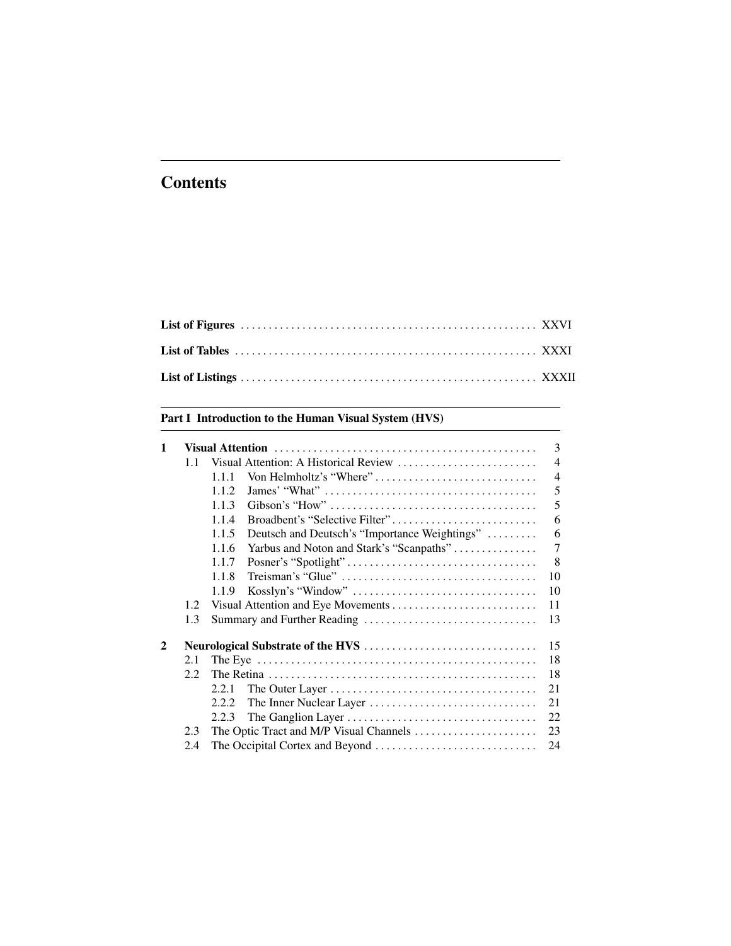# <span id="page-0-0"></span>**Contents**

## [Part I Introduction to the Human Visual System \(HVS\)](#page--1-0)

| 1              |               |                                                        | 3              |
|----------------|---------------|--------------------------------------------------------|----------------|
|                | 1.1           | Visual Attention: A Historical Review                  | $\overline{4}$ |
|                |               | Von Helmholtz's "Where"<br>1.1.1                       | $\overline{4}$ |
|                |               | 1.1.2                                                  | 5              |
|                |               | 1.1.3                                                  | 5              |
|                |               | Broadbent's "Selective Filter"<br>1.1.4                | 6              |
|                |               | Deutsch and Deutsch's "Importance Weightings"<br>1.1.5 | 6              |
|                |               | 1.1.6<br>Yarbus and Noton and Stark's "Scanpaths"      | 7              |
|                |               | 1.1.7                                                  | 8              |
|                |               | 1.1.8                                                  | 10             |
|                |               | 1.1.9                                                  | 10             |
|                | 1.2           |                                                        | 11             |
|                | 1.3           |                                                        | 13             |
| $\overline{2}$ |               |                                                        | 15             |
|                | 2.1           |                                                        | 18             |
|                | $2.2^{\circ}$ |                                                        | 18             |
|                |               | 2.2.1                                                  | 21             |
|                |               | 2.2.2.                                                 | 21             |
|                |               | 2.2.3                                                  | 22             |
|                | 2.3           |                                                        | 23             |
|                | 2.4           |                                                        | 24             |
|                |               |                                                        |                |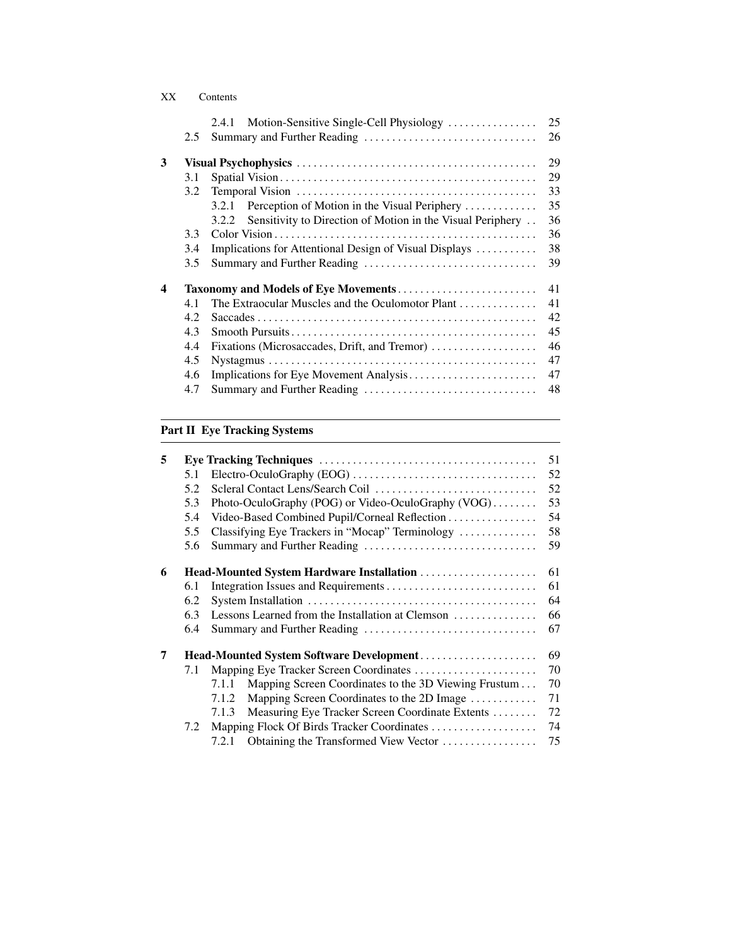|   |               | Motion-Sensitive Single-Cell Physiology<br>2.4.1                    | 25 |
|---|---------------|---------------------------------------------------------------------|----|
|   | $2.5^{\circ}$ |                                                                     | 26 |
| 3 |               |                                                                     | 29 |
|   | 3.1           |                                                                     | 29 |
|   | 3.2           |                                                                     | 33 |
|   |               | Perception of Motion in the Visual Periphery<br>3.2.1               | 35 |
|   |               | Sensitivity to Direction of Motion in the Visual Periphery<br>3.2.2 | 36 |
|   | 3.3           |                                                                     | 36 |
|   | 3.4           | Implications for Attentional Design of Visual Displays              | 38 |
|   | 3.5           |                                                                     | 39 |
| 4 |               |                                                                     | 41 |
|   | 4.1           | The Extraocular Muscles and the Oculomotor Plant                    | 41 |
|   | 4.2           |                                                                     | 42 |
|   | 4.3           |                                                                     | 45 |
|   | 4.4           | Fixations (Microsaccades, Drift, and Tremor)                        | 46 |
|   | 4.5           |                                                                     | 47 |
|   | 4.6           |                                                                     | 47 |
|   | 4.7           |                                                                     | 48 |
|   |               |                                                                     |    |

## [Part II Eye Tracking Systems](#page--1-0)

| 5 |     |       |                                                      | 51 |
|---|-----|-------|------------------------------------------------------|----|
|   | 5.1 |       |                                                      | 52 |
|   | 5.2 |       |                                                      | 52 |
|   | 5.3 |       | Photo-OculoGraphy (POG) or Video-OculoGraphy (VOG)   | 53 |
|   | 5.4 |       | Video-Based Combined Pupil/Corneal Reflection        | 54 |
|   | 5.5 |       | Classifying Eye Trackers in "Mocap" Terminology      | 58 |
|   | 5.6 |       |                                                      | 59 |
| 6 |     |       | Head-Mounted System Hardware Installation            | 61 |
|   | 6.1 |       |                                                      | 61 |
|   | 6.2 |       |                                                      | 64 |
|   | 6.3 |       | Lessons Learned from the Installation at Clemson     | 66 |
|   | 6.4 |       |                                                      | 67 |
| 7 |     |       | Head-Mounted System Software Development             | 69 |
|   | 7.1 |       | Mapping Eye Tracker Screen Coordinates               | 70 |
|   |     | 7.1.1 | Mapping Screen Coordinates to the 3D Viewing Frustum | 70 |
|   |     | 7.1.2 | Mapping Screen Coordinates to the 2D Image           | 71 |
|   |     | 7.1.3 | Measuring Eye Tracker Screen Coordinate Extents      | 72 |
|   | 7.2 |       |                                                      | 74 |
|   |     | 7.2.1 | Obtaining the Transformed View Vector                | 75 |
|   |     |       |                                                      |    |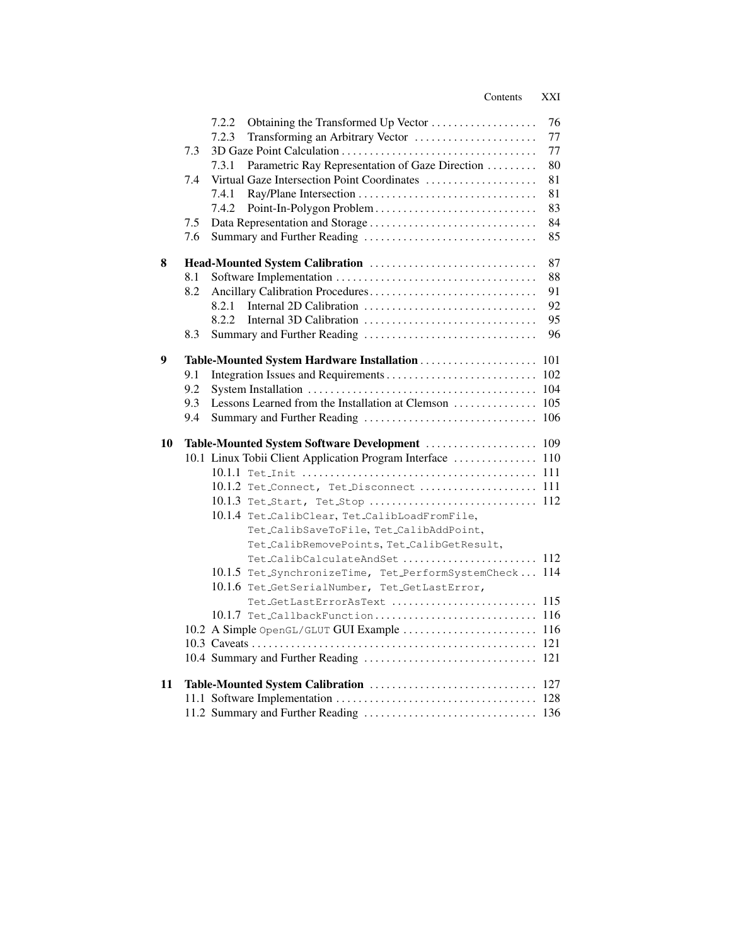|    |     | Obtaining the Transformed Up Vector<br>7.2.2               | 76  |
|----|-----|------------------------------------------------------------|-----|
|    |     | 7.2.3<br>Transforming an Arbitrary Vector                  | 77  |
|    | 7.3 |                                                            | 77  |
|    |     | Parametric Ray Representation of Gaze Direction<br>7.3.1   | 80  |
|    | 7.4 | Virtual Gaze Intersection Point Coordinates                | 81  |
|    |     | 7.4.1                                                      | 81  |
|    |     | 7.4.2                                                      | 83  |
|    | 7.5 |                                                            | 84  |
|    | 7.6 | Summary and Further Reading                                | 85  |
| 8  |     |                                                            | 87  |
|    | 8.1 |                                                            | 88  |
|    | 8.2 |                                                            | 91  |
|    |     | 8.2.1                                                      | 92  |
|    |     | 8.2.2                                                      | 95  |
|    | 8.3 |                                                            | 96  |
| 9  |     |                                                            |     |
|    | 9.1 |                                                            |     |
|    | 9.2 |                                                            | 104 |
|    | 9.3 |                                                            |     |
|    | 9.4 |                                                            |     |
| 10 |     | Table-Mounted System Software Development  109             |     |
|    |     | 10.1 Linux Tobii Client Application Program Interface  110 |     |
|    |     |                                                            |     |
|    |     | 10.1.2 Tet_Connect, Tet_Disconnect  111                    |     |
|    |     | 10.1.3 Tet_Start, Tet_Stop  112                            |     |
|    |     | 10.1.4 Tet_CalibClear, Tet_CalibLoadFromFile,              |     |
|    |     | Tet_CalibSaveToFile, Tet_CalibAddPoint,                    |     |
|    |     | Tet_CalibRemovePoints, Tet_CalibGetResult,                 |     |
|    |     | Tet_CalibCalculateAndSet  112                              |     |
|    |     | 10.1.5 Tet_SynchronizeTime, Tet_PerformSystemCheck 114     |     |
|    |     | 10.1.6 Tet_GetSerialNumber, Tet_GetLastError,              |     |
|    |     | Tet_GetLastErrorAsText $115$                               |     |
|    |     |                                                            |     |
|    |     | 10.2 A Simple OpenGL/GLUT GUI Example  116                 |     |
|    |     |                                                            |     |
|    |     |                                                            |     |
| 11 |     |                                                            |     |
|    |     |                                                            |     |
|    |     |                                                            |     |
|    |     |                                                            |     |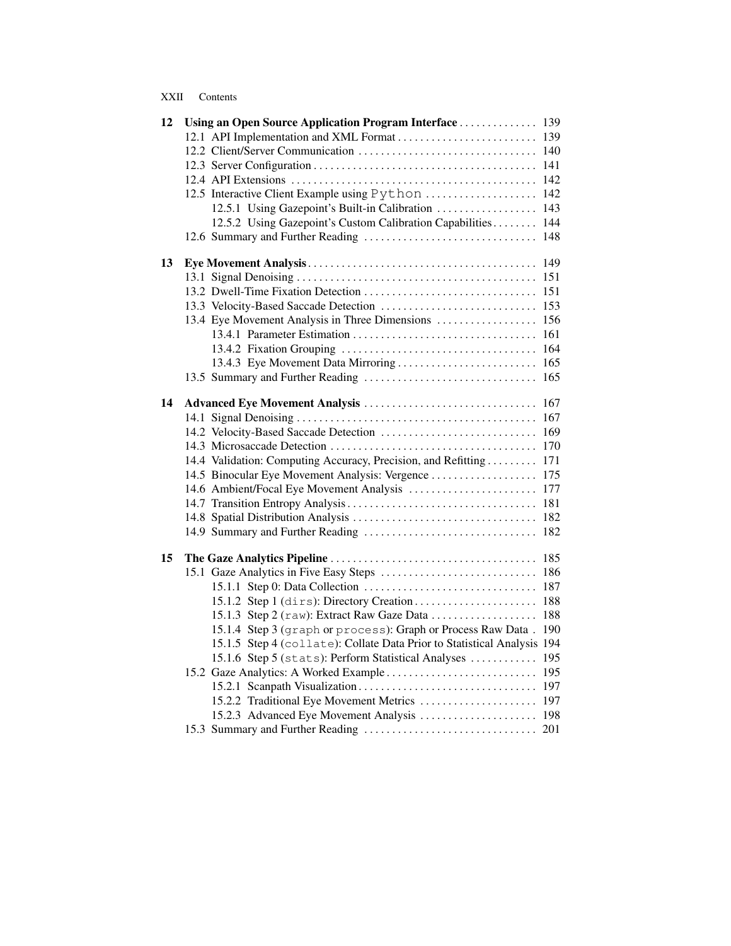| XXII | Contents |
|------|----------|
|      |          |

| 12 | Using an Open Source Application Program Interface  139                 |     |
|----|-------------------------------------------------------------------------|-----|
|    | 12.1 API Implementation and XML Format  139                             |     |
|    |                                                                         |     |
|    |                                                                         |     |
|    |                                                                         |     |
|    | 12.5 Interactive Client Example using Python  142                       |     |
|    | 12.5.1 Using Gazepoint's Built-in Calibration  143                      |     |
|    | 12.5.2 Using Gazepoint's Custom Calibration Capabilities 144            |     |
|    |                                                                         |     |
| 13 |                                                                         |     |
|    |                                                                         | 151 |
|    |                                                                         |     |
|    |                                                                         |     |
|    | 13.4 Eye Movement Analysis in Three Dimensions  156                     |     |
|    |                                                                         |     |
|    |                                                                         |     |
|    |                                                                         |     |
|    |                                                                         |     |
| 14 |                                                                         | 167 |
|    |                                                                         |     |
|    |                                                                         | 169 |
|    |                                                                         |     |
|    | 14.4 Validation: Computing Accuracy, Precision, and Refitting 171       |     |
|    | 14.5 Binocular Eye Movement Analysis: Vergence  175                     |     |
|    | 14.6 Ambient/Focal Eye Movement Analysis  177                           |     |
|    |                                                                         |     |
|    |                                                                         |     |
|    |                                                                         |     |
| 15 |                                                                         |     |
|    |                                                                         |     |
|    |                                                                         | 187 |
|    |                                                                         | 188 |
|    | 15.1.3 Step 2 (raw): Extract Raw Gaze Data                              | 188 |
|    | 15.1.4 Step 3 (graph or process): Graph or Process Raw Data.            | 190 |
|    | 15.1.5 Step 4 (collate): Collate Data Prior to Statistical Analysis 194 |     |
|    | 15.1.6 Step 5 (stats): Perform Statistical Analyses                     | 195 |
|    |                                                                         | 195 |
|    |                                                                         |     |
|    | 15.2.2 Traditional Eye Movement Metrics  197                            |     |
|    | 15.2.3 Advanced Eye Movement Analysis  198                              |     |
|    |                                                                         |     |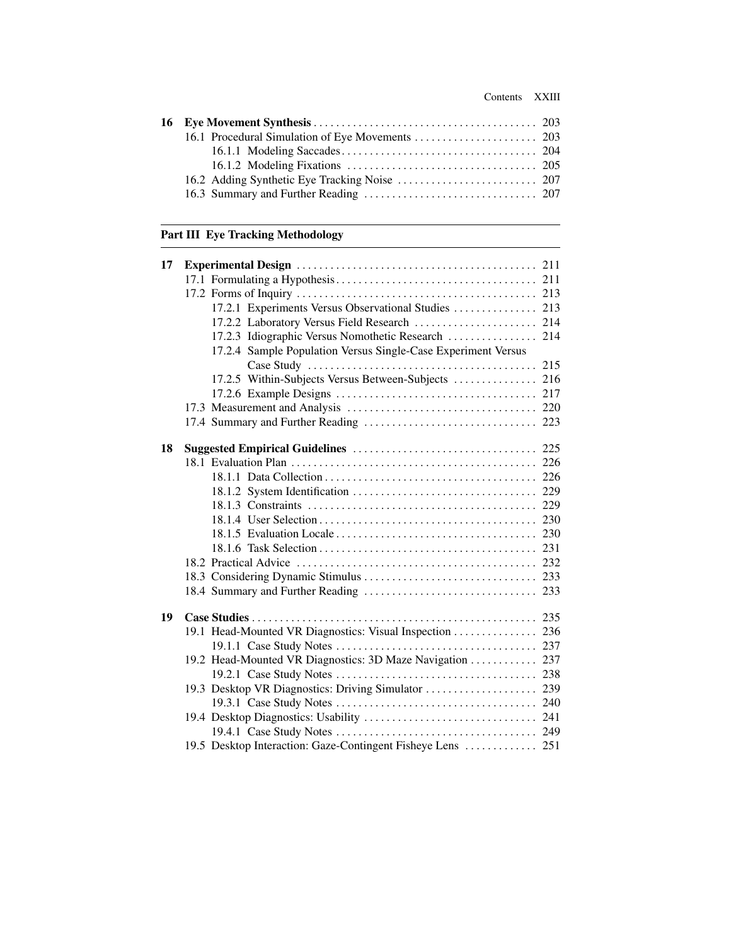### [Part III Eye Tracking Methodology](#page--1-0)

| 17 |                                                               |     |
|----|---------------------------------------------------------------|-----|
|    |                                                               |     |
|    |                                                               |     |
|    | 17.2.1 Experiments Versus Observational Studies  213          |     |
|    | 17.2.2 Laboratory Versus Field Research  214                  |     |
|    | 17.2.3 Idiographic Versus Nomothetic Research                 | 214 |
|    | 17.2.4 Sample Population Versus Single-Case Experiment Versus |     |
|    |                                                               | 215 |
|    | 17.2.5 Within-Subjects Versus Between-Subjects  216           |     |
|    |                                                               |     |
|    |                                                               |     |
|    |                                                               |     |
| 18 |                                                               |     |
|    |                                                               |     |
|    |                                                               |     |
|    |                                                               |     |
|    |                                                               |     |
|    |                                                               |     |
|    |                                                               |     |
|    |                                                               |     |
|    |                                                               |     |
|    |                                                               |     |
|    |                                                               |     |
| 19 |                                                               |     |
|    | 19.1 Head-Mounted VR Diagnostics: Visual Inspection  236      |     |
|    |                                                               |     |
|    | 19.2 Head-Mounted VR Diagnostics: 3D Maze Navigation          | 237 |
|    |                                                               |     |
|    | 19.3 Desktop VR Diagnostics: Driving Simulator                | 239 |
|    |                                                               |     |
|    |                                                               |     |
|    |                                                               |     |
|    | 19.5 Desktop Interaction: Gaze-Contingent Fisheye Lens  251   |     |
|    |                                                               |     |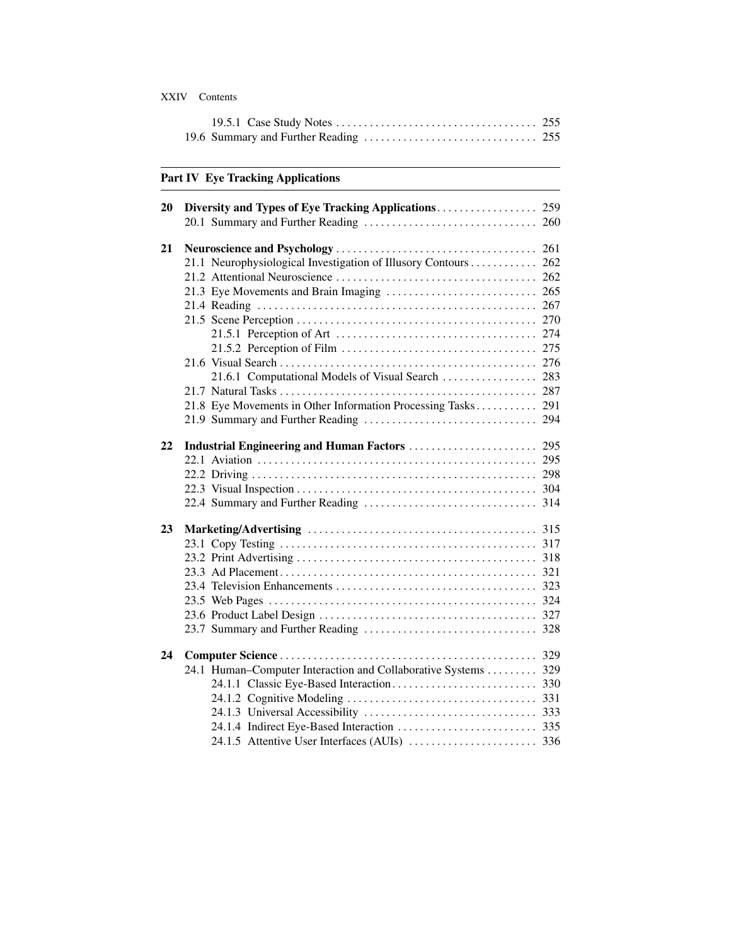#### XXIV Contents

### [Part IV Eye Tracking Applications](#page--1-0)

| 20 |                                                                |  |
|----|----------------------------------------------------------------|--|
|    |                                                                |  |
| 21 |                                                                |  |
|    | 21.1 Neurophysiological Investigation of Illusory Contours 262 |  |
|    |                                                                |  |
|    |                                                                |  |
|    |                                                                |  |
|    |                                                                |  |
|    |                                                                |  |
|    |                                                                |  |
|    |                                                                |  |
|    | 21.6.1 Computational Models of Visual Search  283              |  |
|    |                                                                |  |
|    | 21.8 Eye Movements in Other Information Processing Tasks 291   |  |
|    |                                                                |  |
|    |                                                                |  |
| 22 |                                                                |  |
|    |                                                                |  |
|    |                                                                |  |
|    |                                                                |  |
|    |                                                                |  |
| 23 |                                                                |  |
|    |                                                                |  |
|    |                                                                |  |
|    |                                                                |  |
|    |                                                                |  |
|    |                                                                |  |
|    |                                                                |  |
|    |                                                                |  |
| 24 |                                                                |  |
|    | 24.1 Human–Computer Interaction and Collaborative Systems 329  |  |
|    |                                                                |  |
|    |                                                                |  |
|    |                                                                |  |
|    |                                                                |  |
|    |                                                                |  |